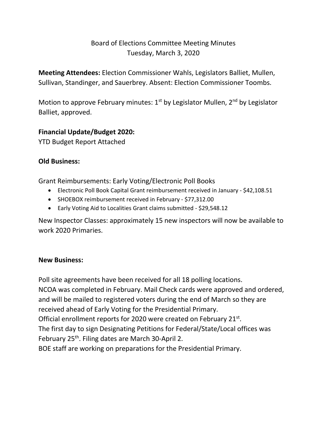# Board of Elections Committee Meeting Minutes Tuesday, March 3, 2020

**Meeting Attendees:** Election Commissioner Wahls, Legislators Balliet, Mullen, Sullivan, Standinger, and Sauerbrey. Absent: Election Commissioner Toombs.

Motion to approve February minutes:  $1<sup>st</sup>$  by Legislator Mullen,  $2<sup>nd</sup>$  by Legislator Balliet, approved.

### **Financial Update/Budget 2020:**

YTD Budget Report Attached

## **Old Business:**

Grant Reimbursements: Early Voting/Electronic Poll Books

- Electronic Poll Book Capital Grant reimbursement received in January \$42,108.51
- SHOEBOX reimbursement received in February \$77,312.00
- Early Voting Aid to Localities Grant claims submitted \$29,548.12

New Inspector Classes: approximately 15 new inspectors will now be available to work 2020 Primaries.

### **New Business:**

Poll site agreements have been received for all 18 polling locations. NCOA was completed in February. Mail Check cards were approved and ordered, and will be mailed to registered voters during the end of March so they are received ahead of Early Voting for the Presidential Primary. Official enrollment reports for 2020 were created on February 21st. The first day to sign Designating Petitions for Federal/State/Local offices was February 25<sup>th</sup>. Filing dates are March 30-April 2. BOE staff are working on preparations for the Presidential Primary.